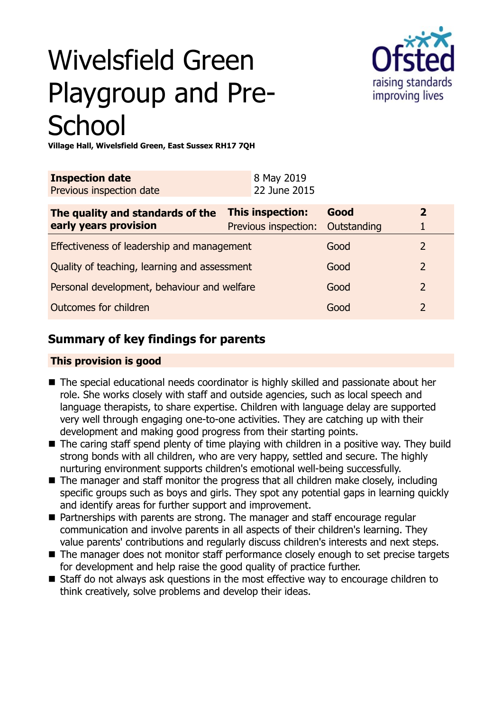# Wivelsfield Green Playgroup and Pre-**School**



**Village Hall, Wivelsfield Green, East Sussex RH17 7QH**

|                                             | <b>Inspection date</b><br>Previous inspection date        |  | 8 May 2019<br>22 June 2015                      |                     |                                         |
|---------------------------------------------|-----------------------------------------------------------|--|-------------------------------------------------|---------------------|-----------------------------------------|
|                                             | The quality and standards of the<br>early years provision |  | <b>This inspection:</b><br>Previous inspection: | Good<br>Outstanding | $\overline{\mathbf{z}}$<br>$\mathbf{1}$ |
|                                             | Effectiveness of leadership and management                |  |                                                 | Good                | $\overline{2}$                          |
|                                             | Quality of teaching, learning and assessment              |  |                                                 | Good                | $\overline{2}$                          |
| Personal development, behaviour and welfare |                                                           |  | Good                                            | $\mathcal{P}$       |                                         |

**Outcomes for children** and 2 and 2 and 2 and 2 and 2 and 2 and 2 and 2 and 2 and 2 and 2 and 2 and 2 and 2 and 2 and 2 and 2 and 2 and 2 and 2 and 2 and 2 and 2 and 2 and 2 and 2 and 2 and 2 and 2 and 2 and 2 and 2 and 2

## **Summary of key findings for parents**

## **This provision is good**

- The special educational needs coordinator is highly skilled and passionate about her role. She works closely with staff and outside agencies, such as local speech and language therapists, to share expertise. Children with language delay are supported very well through engaging one-to-one activities. They are catching up with their development and making good progress from their starting points.
- $\blacksquare$  The caring staff spend plenty of time playing with children in a positive way. They build strong bonds with all children, who are very happy, settled and secure. The highly nurturing environment supports children's emotional well-being successfully.
- $\blacksquare$  The manager and staff monitor the progress that all children make closely, including specific groups such as boys and girls. They spot any potential gaps in learning quickly and identify areas for further support and improvement.
- Partnerships with parents are strong. The manager and staff encourage regular communication and involve parents in all aspects of their children's learning. They value parents' contributions and regularly discuss children's interests and next steps.
- The manager does not monitor staff performance closely enough to set precise targets for development and help raise the good quality of practice further.
- Staff do not always ask questions in the most effective way to encourage children to think creatively, solve problems and develop their ideas.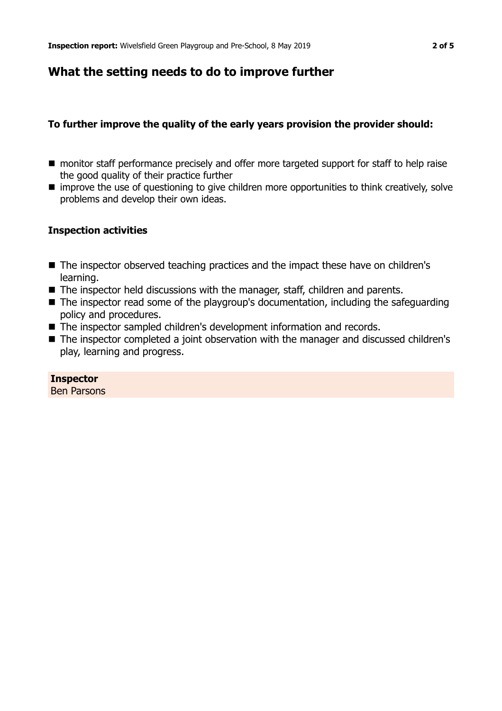## **What the setting needs to do to improve further**

#### **To further improve the quality of the early years provision the provider should:**

- **n** monitor staff performance precisely and offer more targeted support for staff to help raise the good quality of their practice further
- $\blacksquare$  improve the use of questioning to give children more opportunities to think creatively, solve problems and develop their own ideas.

#### **Inspection activities**

- The inspector observed teaching practices and the impact these have on children's learning.
- $\blacksquare$  The inspector held discussions with the manager, staff, children and parents.
- $\blacksquare$  The inspector read some of the playgroup's documentation, including the safeguarding policy and procedures.
- The inspector sampled children's development information and records.
- The inspector completed a joint observation with the manager and discussed children's play, learning and progress.

**Inspector** Ben Parsons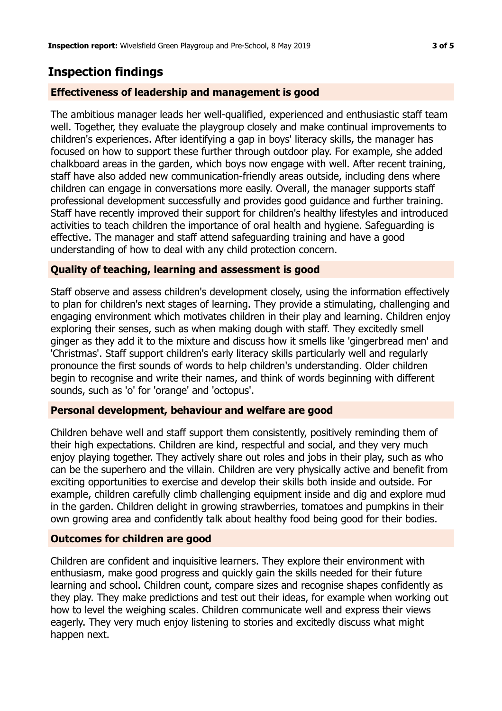# **Inspection findings**

## **Effectiveness of leadership and management is good**

The ambitious manager leads her well-qualified, experienced and enthusiastic staff team well. Together, they evaluate the playgroup closely and make continual improvements to children's experiences. After identifying a gap in boys' literacy skills, the manager has focused on how to support these further through outdoor play. For example, she added chalkboard areas in the garden, which boys now engage with well. After recent training, staff have also added new communication-friendly areas outside, including dens where children can engage in conversations more easily. Overall, the manager supports staff professional development successfully and provides good guidance and further training. Staff have recently improved their support for children's healthy lifestyles and introduced activities to teach children the importance of oral health and hygiene. Safeguarding is effective. The manager and staff attend safeguarding training and have a good understanding of how to deal with any child protection concern.

## **Quality of teaching, learning and assessment is good**

Staff observe and assess children's development closely, using the information effectively to plan for children's next stages of learning. They provide a stimulating, challenging and engaging environment which motivates children in their play and learning. Children enjoy exploring their senses, such as when making dough with staff. They excitedly smell ginger as they add it to the mixture and discuss how it smells like 'gingerbread men' and 'Christmas'. Staff support children's early literacy skills particularly well and regularly pronounce the first sounds of words to help children's understanding. Older children begin to recognise and write their names, and think of words beginning with different sounds, such as 'o' for 'orange' and 'octopus'.

## **Personal development, behaviour and welfare are good**

Children behave well and staff support them consistently, positively reminding them of their high expectations. Children are kind, respectful and social, and they very much enjoy playing together. They actively share out roles and jobs in their play, such as who can be the superhero and the villain. Children are very physically active and benefit from exciting opportunities to exercise and develop their skills both inside and outside. For example, children carefully climb challenging equipment inside and dig and explore mud in the garden. Children delight in growing strawberries, tomatoes and pumpkins in their own growing area and confidently talk about healthy food being good for their bodies.

## **Outcomes for children are good**

Children are confident and inquisitive learners. They explore their environment with enthusiasm, make good progress and quickly gain the skills needed for their future learning and school. Children count, compare sizes and recognise shapes confidently as they play. They make predictions and test out their ideas, for example when working out how to level the weighing scales. Children communicate well and express their views eagerly. They very much enjoy listening to stories and excitedly discuss what might happen next.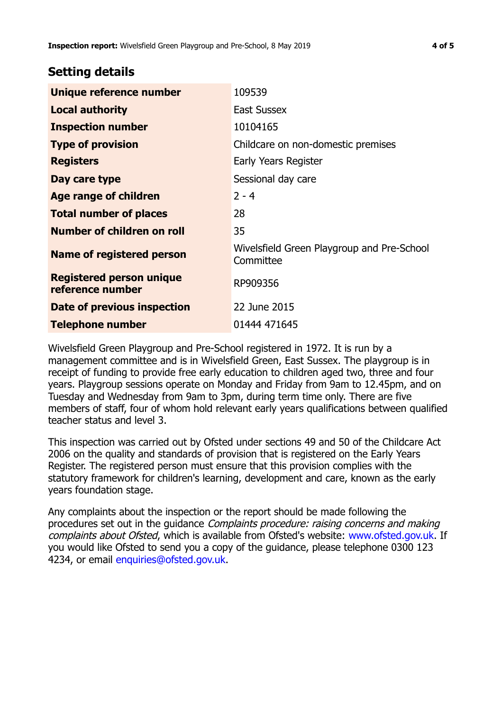## **Setting details**

| Unique reference number                             | 109539                                                  |
|-----------------------------------------------------|---------------------------------------------------------|
| <b>Local authority</b>                              | <b>East Sussex</b>                                      |
| <b>Inspection number</b>                            | 10104165                                                |
| <b>Type of provision</b>                            | Childcare on non-domestic premises                      |
| <b>Registers</b>                                    | Early Years Register                                    |
| Day care type                                       | Sessional day care                                      |
| Age range of children                               | $2 - 4$                                                 |
| <b>Total number of places</b>                       | 28                                                      |
| Number of children on roll                          | 35                                                      |
| Name of registered person                           | Wivelsfield Green Playgroup and Pre-School<br>Committee |
| <b>Registered person unique</b><br>reference number | RP909356                                                |
| Date of previous inspection                         | 22 June 2015                                            |
| <b>Telephone number</b>                             | 01444 471645                                            |

Wivelsfield Green Playgroup and Pre-School registered in 1972. It is run by a management committee and is in Wivelsfield Green, East Sussex. The playgroup is in receipt of funding to provide free early education to children aged two, three and four years. Playgroup sessions operate on Monday and Friday from 9am to 12.45pm, and on Tuesday and Wednesday from 9am to 3pm, during term time only. There are five members of staff, four of whom hold relevant early years qualifications between qualified teacher status and level 3.

This inspection was carried out by Ofsted under sections 49 and 50 of the Childcare Act 2006 on the quality and standards of provision that is registered on the Early Years Register. The registered person must ensure that this provision complies with the statutory framework for children's learning, development and care, known as the early years foundation stage.

Any complaints about the inspection or the report should be made following the procedures set out in the guidance Complaints procedure: raising concerns and making complaints about Ofsted, which is available from Ofsted's website: www.ofsted.gov.uk. If you would like Ofsted to send you a copy of the guidance, please telephone 0300 123 4234, or email [enquiries@ofsted.gov.uk.](mailto:enquiries@ofsted.gov.uk)